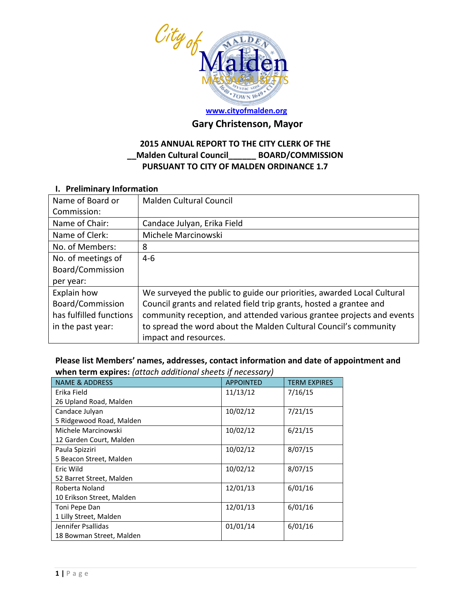

# **Gary Christenson, Mayor**

## **2015 ANNUAL REPORT TO THE CITY CLERK OF THE \_\_Malden Cultural Council\_\_\_\_\_\_ BOARD/COMMISSION PURSUANT TO CITY OF MALDEN ORDINANCE 1.7**

#### **I. Preliminary Information**

| Name of Board or<br>Commission: | <b>Malden Cultural Council</b>                                         |
|---------------------------------|------------------------------------------------------------------------|
|                                 |                                                                        |
| Name of Chair:                  | Candace Julyan, Erika Field                                            |
| Name of Clerk:                  | Michele Marcinowski                                                    |
| No. of Members:                 | 8                                                                      |
| No. of meetings of              | $4-6$                                                                  |
| Board/Commission                |                                                                        |
| per year:                       |                                                                        |
| Explain how                     | We surveyed the public to guide our priorities, awarded Local Cultural |
| Board/Commission                | Council grants and related field trip grants, hosted a grantee and     |
| has fulfilled functions         | community reception, and attended various grantee projects and events  |
| in the past year:               | to spread the word about the Malden Cultural Council's community       |
|                                 | impact and resources.                                                  |

**Please list Members' names, addresses, contact information and date of appointment and when term expires:** *(attach additional sheets if necessary)*

| <b>NAME &amp; ADDRESS</b> | <b>APPOINTED</b> | <b>TERM EXPIRES</b> |
|---------------------------|------------------|---------------------|
| Erika Field               | 11/13/12         | 7/16/15             |
| 26 Upland Road, Malden    |                  |                     |
| Candace Julyan            | 10/02/12         | 7/21/15             |
| 5 Ridgewood Road, Malden  |                  |                     |
| Michele Marcinowski       | 10/02/12         | 6/21/15             |
| 12 Garden Court, Malden   |                  |                     |
| Paula Spizziri            | 10/02/12         | 8/07/15             |
| 5 Beacon Street, Malden   |                  |                     |
| Eric Wild                 | 10/02/12         | 8/07/15             |
| 52 Barret Street, Malden  |                  |                     |
| Roberta Noland            | 12/01/13         | 6/01/16             |
| 10 Erikson Street, Malden |                  |                     |
| Toni Pepe Dan             | 12/01/13         | 6/01/16             |
| 1 Lilly Street, Malden    |                  |                     |
| Jennifer Psallidas        | 01/01/14         | 6/01/16             |
| 18 Bowman Street, Malden  |                  |                     |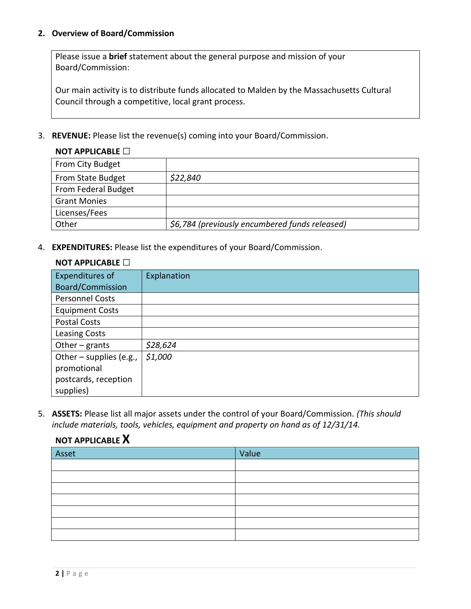#### **2. Overview of Board/Commission**

Please issue a **brief** statement about the general purpose and mission of your Board/Commission:

Our main activity is to distribute funds allocated to Malden by the Massachusetts Cultural Council through a competitive, local grant process.

3. **REVENUE:** Please list the revenue(s) coming into your Board/Commission.

| $\sim$ . At the state $\Box$ |                                                |
|------------------------------|------------------------------------------------|
| From City Budget             |                                                |
| From State Budget            | \$22,840                                       |
| From Federal Budget          |                                                |
| <b>Grant Monies</b>          |                                                |
| Licenses/Fees                |                                                |
| Other                        | \$6,784 (previously encumbered funds released) |

4. **EXPENDITURES:** Please list the expenditures of your Board/Commission.

#### **NOT APPLICABLE □**

**NOT APPLICABLE X**

**NOT APPLICABLE □**

| Expenditures of         | Explanation |
|-------------------------|-------------|
| Board/Commission        |             |
| <b>Personnel Costs</b>  |             |
| <b>Equipment Costs</b>  |             |
| <b>Postal Costs</b>     |             |
| <b>Leasing Costs</b>    |             |
| Other $-$ grants        | \$28,624    |
| Other - supplies (e.g., | \$1,000     |
| promotional             |             |
| postcards, reception    |             |
| supplies)               |             |

5. **ASSETS:** Please list all major assets under the control of your Board/Commission*. (This should include materials, tools, vehicles, equipment and property on hand as of 12/31/14.*

| . <i>.</i> |       |
|------------|-------|
| Asset      | Value |
|            |       |
|            |       |
|            |       |
|            |       |
|            |       |
|            |       |
|            |       |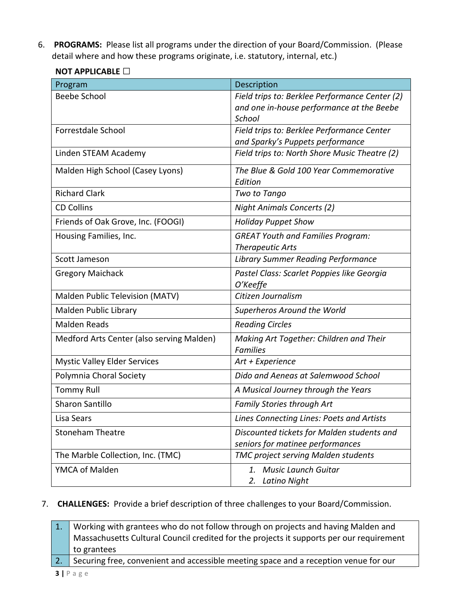6. **PROGRAMS:** Please list all programs under the direction of your Board/Commission. (Please detail where and how these programs originate, i.e. statutory, internal, etc.)

| Program                                   | Description                                                                                           |
|-------------------------------------------|-------------------------------------------------------------------------------------------------------|
| <b>Beebe School</b>                       | Field trips to: Berklee Performance Center (2)<br>and one in-house performance at the Beebe<br>School |
| Forrestdale School                        | Field trips to: Berklee Performance Center<br>and Sparky's Puppets performance                        |
| Linden STEAM Academy                      | Field trips to: North Shore Music Theatre (2)                                                         |
| Malden High School (Casey Lyons)          | The Blue & Gold 100 Year Commemorative<br>Edition                                                     |
| <b>Richard Clark</b>                      | Two to Tango                                                                                          |
| <b>CD Collins</b>                         | <b>Night Animals Concerts (2)</b>                                                                     |
| Friends of Oak Grove, Inc. (FOOGI)        | <b>Holiday Puppet Show</b>                                                                            |
| Housing Families, Inc.                    | <b>GREAT Youth and Families Program:</b><br><b>Therapeutic Arts</b>                                   |
| Scott Jameson                             | <b>Library Summer Reading Performance</b>                                                             |
| <b>Gregory Maichack</b>                   | Pastel Class: Scarlet Poppies like Georgia<br>O'Keeffe                                                |
| Malden Public Television (MATV)           | Citizen Journalism                                                                                    |
| Malden Public Library                     | Superheros Around the World                                                                           |
| <b>Malden Reads</b>                       | <b>Reading Circles</b>                                                                                |
| Medford Arts Center (also serving Malden) | Making Art Together: Children and Their<br><b>Families</b>                                            |
| <b>Mystic Valley Elder Services</b>       | Art + Experience                                                                                      |
| Polymnia Choral Society                   | Dido and Aeneas at Salemwood School                                                                   |
| <b>Tommy Rull</b>                         | A Musical Journey through the Years                                                                   |
| <b>Sharon Santillo</b>                    | <b>Family Stories through Art</b>                                                                     |
| Lisa Sears                                | Lines Connecting Lines: Poets and Artists                                                             |
| <b>Stoneham Theatre</b>                   | Discounted tickets for Malden students and<br>seniors for matinee performances                        |
| The Marble Collection, Inc. (TMC)         | TMC project serving Malden students                                                                   |
| YMCA of Malden                            | 1. Music Launch Guitar<br><b>Latino Night</b><br>2.                                                   |

### **NOT APPLICABLE □**

#### 7. **CHALLENGES:** Provide a brief description of three challenges to your Board/Commission.

1. Working with grantees who do not follow through on projects and having Malden and Massachusetts Cultural Council credited for the projects it supports per our requirement to grantees

2. Securing free, convenient and accessible meeting space and a reception venue for our